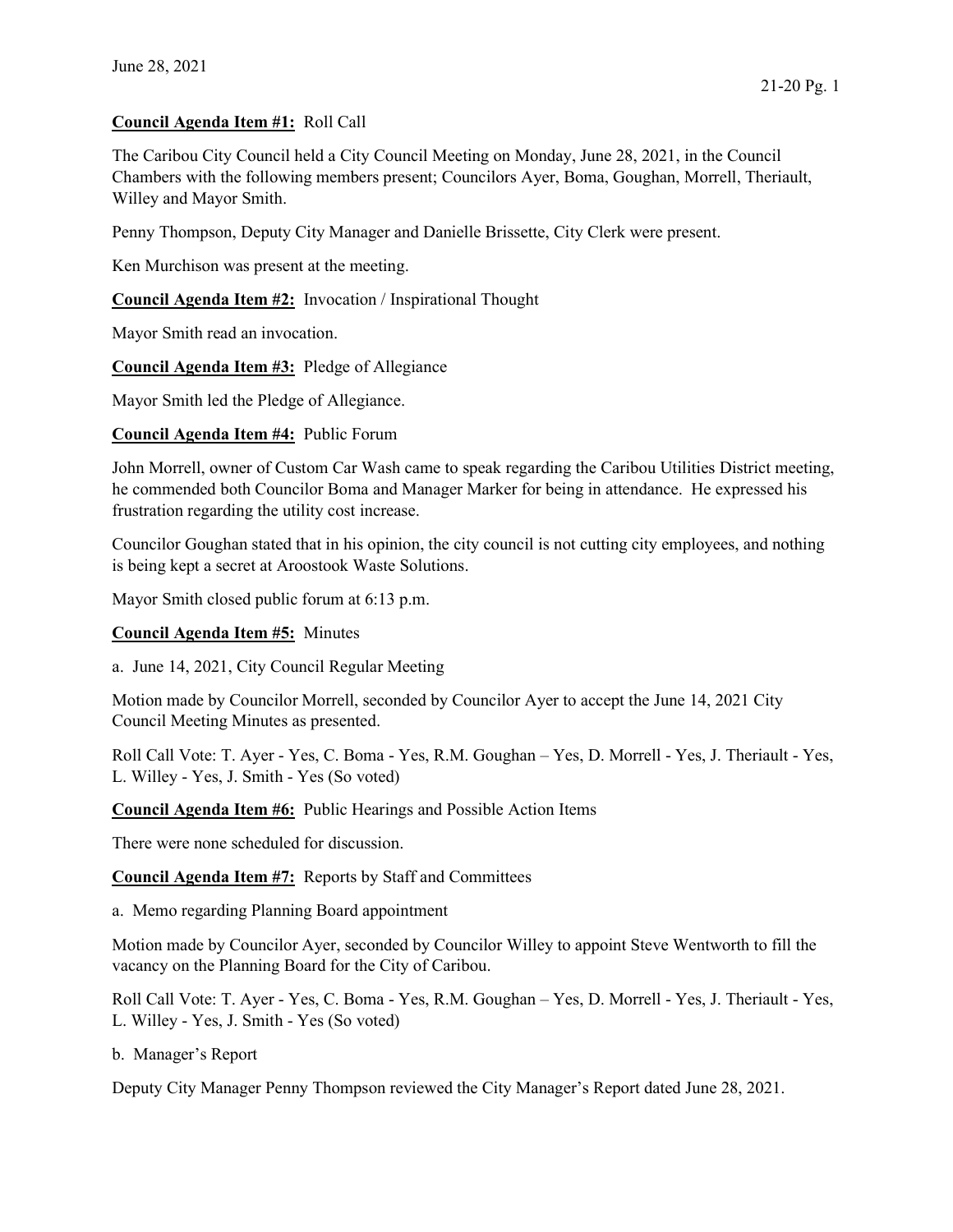## Council Agenda Item #1: Roll Call

The Caribou City Council held a City Council Meeting on Monday, June 28, 2021, in the Council Chambers with the following members present; Councilors Ayer, Boma, Goughan, Morrell, Theriault, Willey and Mayor Smith.

Penny Thompson, Deputy City Manager and Danielle Brissette, City Clerk were present.

Ken Murchison was present at the meeting.

Council Agenda Item #2: Invocation / Inspirational Thought

Mayor Smith read an invocation.

Council Agenda Item #3: Pledge of Allegiance

Mayor Smith led the Pledge of Allegiance.

Council Agenda Item #4: Public Forum

John Morrell, owner of Custom Car Wash came to speak regarding the Caribou Utilities District meeting, he commended both Councilor Boma and Manager Marker for being in attendance. He expressed his frustration regarding the utility cost increase.

Councilor Goughan stated that in his opinion, the city council is not cutting city employees, and nothing is being kept a secret at Aroostook Waste Solutions.

Mayor Smith closed public forum at 6:13 p.m.

Council Agenda Item #5: Minutes

a. June 14, 2021, City Council Regular Meeting

Motion made by Councilor Morrell, seconded by Councilor Ayer to accept the June 14, 2021 City Council Meeting Minutes as presented.

Roll Call Vote: T. Ayer - Yes, C. Boma - Yes, R.M. Goughan – Yes, D. Morrell - Yes, J. Theriault - Yes, L. Willey - Yes, J. Smith - Yes (So voted)

Council Agenda Item #6: Public Hearings and Possible Action Items

There were none scheduled for discussion.

Council Agenda Item #7: Reports by Staff and Committees

a. Memo regarding Planning Board appointment

Motion made by Councilor Ayer, seconded by Councilor Willey to appoint Steve Wentworth to fill the vacancy on the Planning Board for the City of Caribou.

Roll Call Vote: T. Ayer - Yes, C. Boma - Yes, R.M. Goughan – Yes, D. Morrell - Yes, J. Theriault - Yes, L. Willey - Yes, J. Smith - Yes (So voted)

b. Manager's Report

Deputy City Manager Penny Thompson reviewed the City Manager's Report dated June 28, 2021.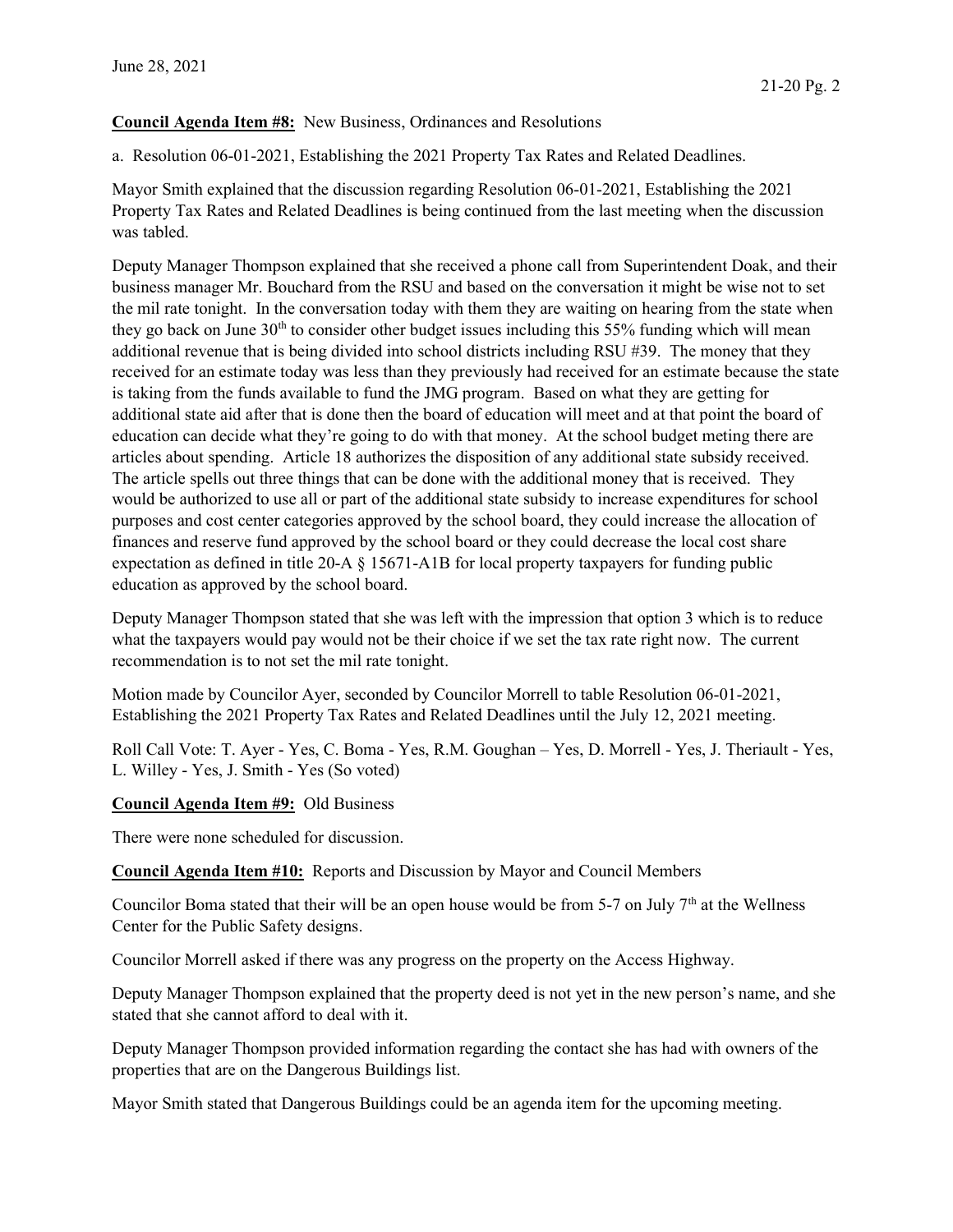## Council Agenda Item #8: New Business, Ordinances and Resolutions

a. Resolution 06-01-2021, Establishing the 2021 Property Tax Rates and Related Deadlines.

Mayor Smith explained that the discussion regarding Resolution 06-01-2021, Establishing the 2021 Property Tax Rates and Related Deadlines is being continued from the last meeting when the discussion was tabled.

Deputy Manager Thompson explained that she received a phone call from Superintendent Doak, and their business manager Mr. Bouchard from the RSU and based on the conversation it might be wise not to set the mil rate tonight. In the conversation today with them they are waiting on hearing from the state when they go back on June  $30<sup>th</sup>$  to consider other budget issues including this 55% funding which will mean additional revenue that is being divided into school districts including RSU #39. The money that they received for an estimate today was less than they previously had received for an estimate because the state is taking from the funds available to fund the JMG program. Based on what they are getting for additional state aid after that is done then the board of education will meet and at that point the board of education can decide what they're going to do with that money. At the school budget meting there are articles about spending. Article 18 authorizes the disposition of any additional state subsidy received. The article spells out three things that can be done with the additional money that is received. They would be authorized to use all or part of the additional state subsidy to increase expenditures for school purposes and cost center categories approved by the school board, they could increase the allocation of finances and reserve fund approved by the school board or they could decrease the local cost share expectation as defined in title 20-A § 15671-A1B for local property taxpayers for funding public education as approved by the school board.

Deputy Manager Thompson stated that she was left with the impression that option 3 which is to reduce what the taxpayers would pay would not be their choice if we set the tax rate right now. The current recommendation is to not set the mil rate tonight.

Motion made by Councilor Ayer, seconded by Councilor Morrell to table Resolution 06-01-2021, Establishing the 2021 Property Tax Rates and Related Deadlines until the July 12, 2021 meeting.

Roll Call Vote: T. Ayer - Yes, C. Boma - Yes, R.M. Goughan – Yes, D. Morrell - Yes, J. Theriault - Yes, L. Willey - Yes, J. Smith - Yes (So voted)

Council Agenda Item #9: Old Business

There were none scheduled for discussion.

Council Agenda Item #10: Reports and Discussion by Mayor and Council Members

Councilor Boma stated that their will be an open house would be from 5-7 on July  $7<sup>th</sup>$  at the Wellness Center for the Public Safety designs.

Councilor Morrell asked if there was any progress on the property on the Access Highway.

Deputy Manager Thompson explained that the property deed is not yet in the new person's name, and she stated that she cannot afford to deal with it.

Deputy Manager Thompson provided information regarding the contact she has had with owners of the properties that are on the Dangerous Buildings list.

Mayor Smith stated that Dangerous Buildings could be an agenda item for the upcoming meeting.